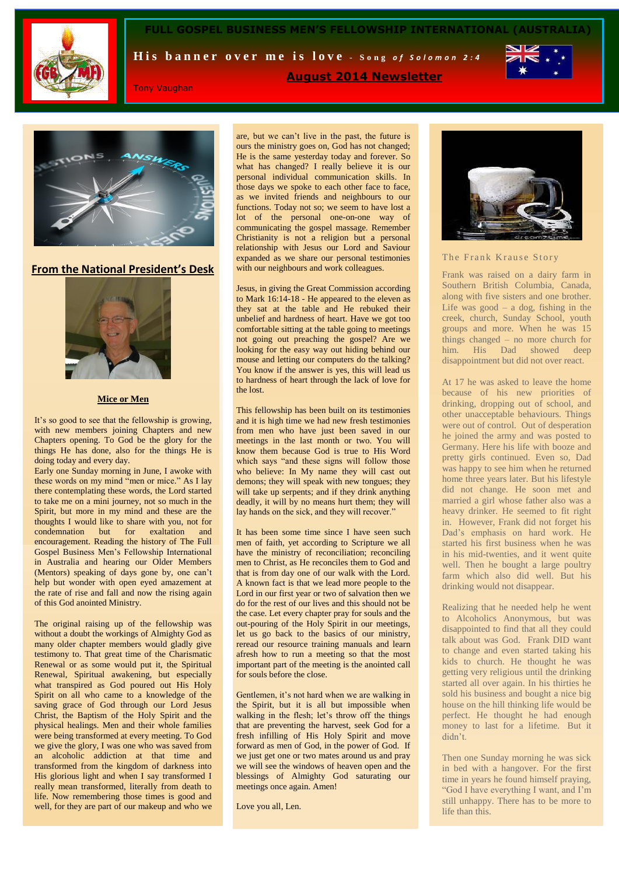

**FULL GOSPEL BUSINESS MEN'S FELLOWSHIP INTERNATIONAL** 

His banner over me is love - Song of Solomon 2:4



Tony Vaughan

**August 2014 Newsletter**



**From the National President's Desk**



# **Mice or Men**

It's so good to see that the fellowship is growing, with new members joining Chapters and new Chapters opening. To God be the glory for the things He has done, also for the things He is doing today and every day.

Early one Sunday morning in June, I awoke with these words on my mind "men or mice." As I lay there contemplating these words, the Lord started to take me on a mini journey, not so much in the Spirit, but more in my mind and these are the thoughts I would like to share with you, not for condemnation but for exaltation and encouragement. Reading the history of The Full Gospel Business Men's Fellowship International in Australia and hearing our Older Members (Mentors) speaking of days gone by, one can't help but wonder with open eyed amazement at the rate of rise and fall and now the rising again of this God anointed Ministry.

The original raising up of the fellowship was without a doubt the workings of Almighty God as many older chapter members would gladly give testimony to. That great time of the Charismatic Renewal or as some would put it, the Spiritual Renewal, Spiritual awakening, but especially what transpired as God poured out His Holy Spirit on all who came to a knowledge of the saving grace of God through our Lord Jesus Christ, the Baptism of the Holy Spirit and the physical healings. Men and their whole families were being transformed at every meeting. To God we give the glory, I was one who was saved from an alcoholic addiction at that time and transformed from the kingdom of darkness into His glorious light and when I say transformed I really mean transformed, literally from death to life. Now remembering those times is good and well, for they are part of our makeup and who we

are, but we can't live in the past, the future is ours the ministry goes on, God has not changed; He is the same yesterday today and forever. So what has changed? I really believe it is our personal individual communication skills. In those days we spoke to each other face to face, as we invited friends and neighbours to our functions. Today not so; we seem to have lost a lot of the personal one-on-one way of communicating the gospel massage. Remember Christianity is not a religion but a personal relationship with Jesus our Lord and Saviour expanded as we share our personal testimonies with our neighbours and work colleagues.

Jesus, in giving the Great Commission according to Mark 16:14-18 - He appeared to the eleven as they sat at the table and He rebuked their unbelief and hardness of heart. Have we got too comfortable sitting at the table going to meetings not going out preaching the gospel? Are we looking for the easy way out hiding behind our mouse and letting our computers do the talking? You know if the answer is yes, this will lead us to hardness of heart through the lack of love for the lost.

This fellowship has been built on its testimonies and it is high time we had new fresh testimonies from men who have just been saved in our meetings in the last month or two. You will know them because God is true to His Word which says "and these signs will follow those who believe: In My name they will cast out demons; they will speak with new tongues; they will take up serpents; and if they drink anything deadly, it will by no means hurt them; they will lay hands on the sick, and they will recover.

It has been some time since I have seen such men of faith, yet according to Scripture we all have the ministry of reconciliation; reconciling men to Christ, as He reconciles them to God and that is from day one of our walk with the Lord. A known fact is that we lead more people to the Lord in our first year or two of salvation then we do for the rest of our lives and this should not be the case. Let every chapter pray for souls and the out-pouring of the Holy Spirit in our meetings, let us go back to the basics of our ministry, reread our resource training manuals and learn afresh how to run a meeting so that the most important part of the meeting is the anointed call for souls before the close.

Gentlemen, it's not hard when we are walking in the Spirit, but it is all but impossible when walking in the flesh; let's throw off the things that are preventing the harvest, seek God for a fresh infilling of His Holy Spirit and move forward as men of God, in the power of God. If we just get one or two mates around us and pray we will see the windows of heaven open and the blessings of Almighty God saturating our meetings once again. Amen!

Love you all, Len.



### The Frank Krause Story

Frank was raised on a dairy farm in Southern British Columbia, Canada, along with five sisters and one brother. Life was good  $-$  a dog, fishing in the creek, church, Sunday School, youth groups and more. When he was 15 things changed – no more church for him. His Dad showed deep disappointment but did not over react.

At 17 he was asked to leave the home because of his new priorities of drinking, dropping out of school, and other unacceptable behaviours. Things were out of control. Out of desperation he joined the army and was posted to Germany. Here his life with booze and pretty girls continued. Even so, Dad was happy to see him when he returned home three years later. But his lifestyle did not change. He soon met and married a girl whose father also was a heavy drinker. He seemed to fit right in. However, Frank did not forget his Dad's emphasis on hard work. He started his first business when he was in his mid-twenties, and it went quite well. Then he bought a large poultry farm which also did well. But his drinking would not disappear.

Realizing that he needed help he went to Alcoholics Anonymous, but was disappointed to find that all they could talk about was God. Frank DID want to change and even started taking his kids to church. He thought he was getting very religious until the drinking started all over again. In his thirties he sold his business and bought a nice big house on the hill thinking life would be perfect. He thought he had enough money to last for a lifetime. But it didn't.

Then one Sunday morning he was sick in bed with a hangover. For the first time in years he found himself praying, "God I have everything I want, and I'm still unhappy. There has to be more to life than this.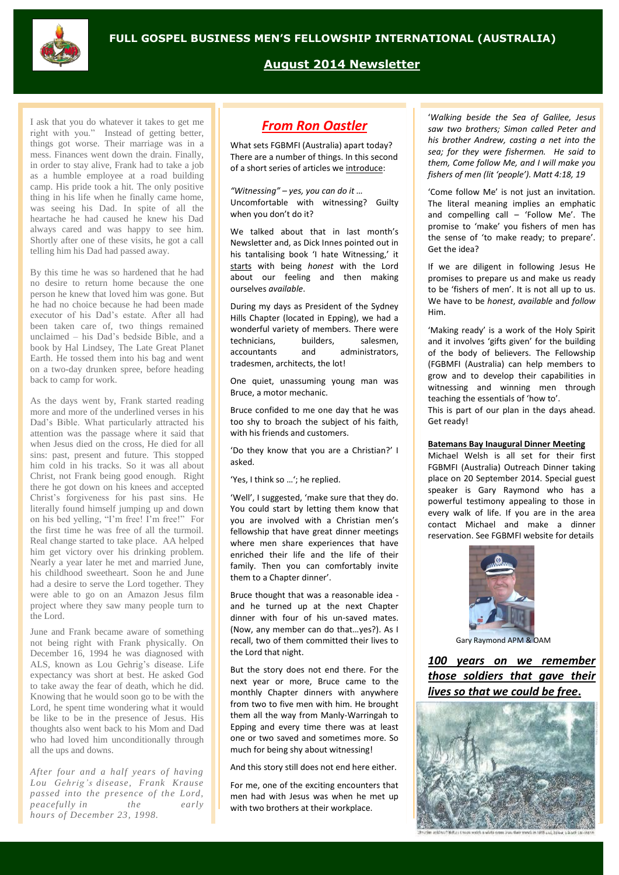# $\frac{1}{\sqrt{2}}$

**August 2014 Newsletter**

I ask that you do whatever it takes to get me right with you." Instead of getting better, things got worse. Their marriage was in a mess. Finances went down the drain. Finally, in order to stay alive, Frank had to take a job as a humble employee at a road building camp. His pride took a hit. The only positive thing in his life when he finally came home, was seeing his Dad. In spite of all the heartache he had caused he knew his Dad always cared and was happy to see him. Shortly after one of these visits, he got a call telling him his Dad had passed away.

By this time he was so hardened that he had no desire to return home because the one person he knew that loved him was gone. But he had no choice because he had been made executor of his Dad's estate. After all had been taken care of, two things remained unclaimed – his Dad's bedside Bible, and a book by Hal Lindsey, The Late Great Planet Earth. He tossed them into his bag and went on a two-day drunken spree, before heading back to camp for work.

As the days went by, Frank started reading more and more of the underlined verses in his Dad's Bible. What particularly attracted his attention was the passage where it said that when Jesus died on the cross, He died for all sins: past, present and future. This stopped him cold in his tracks. So it was all about Christ, not Frank being good enough. Right there he got down on his knees and accepted Christ's forgiveness for his past sins. He literally found himself jumping up and down on his bed yelling, "I'm free! I'm free!" For the first time he was free of all the turmoil. Real change started to take place. AA helped him get victory over his drinking problem. Nearly a year later he met and married June, his childhood sweetheart. Soon he and June had a desire to serve the Lord together. They were able to go on an Amazon Jesus film project where they saw many people turn to the Lord.

June and Frank became aware of something not being right with Frank physically. On December 16, 1994 he was diagnosed with ALS, known as Lou Gehrig's disease. Life expectancy was short at best. He asked God to take away the fear of death, which he did. Knowing that he would soon go to be with the Lord, he spent time wondering what it would be like to be in the presence of Jesus. His thoughts also went back to his Mom and Dad who had loved him unconditionally through all the ups and downs.

*After four and a half years of having Lou Gehrig 's disease, Frank Krause passed into the presence of the Lord, peacefully in the early hours of December 23, 1998.*

# *From Ron Oastler*

What sets FGBMFI (Australia) apart today? There are a number of things. In this second of a short series of articles we introduce:

*"Witnessing" – yes, you can do it …* Uncomfortable with witnessing? Guilty when you don't do it?

We talked about that in last month's Newsletter and, as Dick Innes pointed out in his tantalising book 'I hate Witnessing,' it starts with being *honest* with the Lord about our feeling and then making ourselves *available*.

During my days as President of the Sydney Hills Chapter (located in Epping), we had a wonderful variety of members. There were technicians, builders, salesmen, accountants and administrators, tradesmen, architects, the lot!

One quiet, unassuming young man was Bruce, a motor mechanic.

Bruce confided to me one day that he was too shy to broach the subject of his faith, with his friends and customers.

'Do they know that you are a Christian?' I asked.

'Yes, I think so …'; he replied.

'Well', I suggested, 'make sure that they do. You could start by letting them know that you are involved with a Christian men's fellowship that have great dinner meetings where men share experiences that have enriched their life and the life of their family. Then you can comfortably invite them to a Chapter dinner'.

Bruce thought that was a reasonable idea and he turned up at the next Chapter dinner with four of his un-saved mates. (Now, any member can do that…yes?). As I recall, two of them committed their lives to the Lord that night.

But the story does not end there. For the next year or more, Bruce came to the monthly Chapter dinners with anywhere from two to five men with him. He brought them all the way from Manly-Warringah to Epping and every time there was at least one or two saved and sometimes more. So much for being shy about witnessing!

And this story still does not end here either.

For me, one of the exciting encounters that men had with Jesus was when he met up with two brothers at their workplace.

'*Walking beside the Sea of Galilee, Jesus saw two brothers; Simon called Peter and his brother Andrew, casting a net into the sea; for they were fishermen. He said to them, Come follow Me, and I will make you fishers of men (lit 'people'). Matt 4:18, 19*

'Come follow Me' is not just an invitation. The literal meaning implies an emphatic and compelling call – 'Follow Me'. The promise to 'make' you fishers of men has the sense of 'to make ready; to prepare'. Get the idea?

If we are diligent in following Jesus He promises to prepare us and make us ready to be 'fishers of men'. It is not all up to us. We have to be *honest*, *available* and *follow* Him.

'Making ready' is a work of the Holy Spirit and it involves 'gifts given' for the building of the body of believers. The Fellowship (FGBMFI (Australia) can help members to grow and to develop their capabilities in witnessing and winning men through teaching the essentials of 'how to'.

This is part of our plan in the days ahead. Get ready!

### **Batemans Bay Inaugural Dinner Meeting**

Michael Welsh is all set for their first FGBMFI (Australia) Outreach Dinner taking place on 20 September 2014. Special guest speaker is Gary Raymond who has a powerful testimony appealing to those in every walk of life. If you are in the area contact Michael and make a dinner reservation. See FGBMFI website for details



Gary Raymond APM & OAM

*100 years on we remember those soldiers that gave their lives so that we could be free***.**

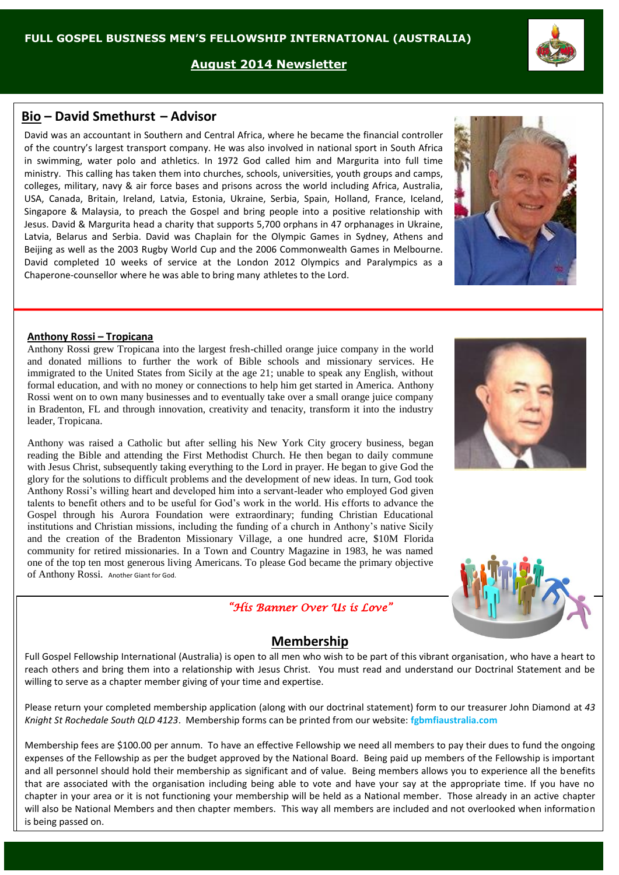**August 2014 Newsletter**

# **Bio – David Smethurst – Advisor**

David was an accountant in Southern and Central Africa, where he became the financial controller of the country's largest transport company. He was also involved in national sport in South Africa in swimming, water polo and athletics. In 1972 God called him and Margurita into full time ministry. This calling has taken them into churches, schools, universities, youth groups and camps, colleges, military, navy & air force bases and prisons across the world including Africa, Australia, USA, Canada, Britain, Ireland, Latvia, Estonia, Ukraine, Serbia, Spain, Holland, France, Iceland, Singapore & Malaysia, to preach the Gospel and bring people into a positive relationship with Jesus. David & Margurita head a charity that supports 5,700 orphans in 47 orphanages in Ukraine, Latvia, Belarus and Serbia. David was Chaplain for the Olympic Games in Sydney, Athens and Beijing as well as the 2003 Rugby World Cup and the 2006 Commonwealth Games in Melbourne. David completed 10 weeks of service at the London 2012 Olympics and Paralympics as a Chaperone-counsellor where he was able to bring many athletes to the Lord.

# **Anthony Rossi – Tropicana**

Anthony Rossi grew Tropicana into the largest fresh-chilled orange juice company in the world and donated millions to further the work of Bible schools and missionary services. He immigrated to the United States from Sicily at the age 21; unable to speak any English, without formal education, and with no money or connections to help him get started in America. [Anthony](http://en.wikipedia.org/wiki/Anthony_T._Rossi)  [Rossi](http://en.wikipedia.org/wiki/Anthony_T._Rossi) went on to own many businesses and to eventually take over a small orange juice company in Bradenton, FL and through innovation, creativity and tenacity, transform it into the industry leader, Tropicana.

Anthony was raised a Catholic but after selling his New York City grocery business, began reading the Bible and attending the First Methodist Church. He then began to daily commune with Jesus Christ, subsequently taking everything to the Lord in prayer. He began to give God the glory for the solutions to difficult problems and the development of new ideas. In turn, God took Anthony Rossi's willing heart and developed him into a servant-leader who employed God given talents to benefit others and to be useful for God's work in the world. His efforts to advance the Gospel through his Aurora Foundation were extraordinary; funding Christian Educational institutions and Christian missions, including the funding of a church in Anthony's native Sicily and the creation of the Bradenton Missionary Village, a one hundred acre, \$10M Florida community for retired missionaries. In a Town and Country Magazine in 1983, he was named one of the top ten most generous living Americans. To please God became the primary objective of Anthony Rossi. Another Giant for God.

# **Membership**

*"His Banner Over Us is Love"* 

Full Gospel Fellowship International (Australia) is open to all men who wish to be part of this vibrant organisation, who have a heart to reach others and bring them into a relationship with Jesus Christ. You must read and understand our Doctrinal Statement and be willing to serve as a chapter member giving of your time and expertise.

Please return your completed membership application (along with our doctrinal statement) form to our treasurer John Diamond at *43 Knight St Rochedale South QLD 4123*. Membership forms can be printed from our website: **fgbmfiaustralia.com**

Membership fees are \$100.00 per annum. To have an effective Fellowship we need all members to pay their dues to fund the ongoing expenses of the Fellowship as per the budget approved by the National Board. Being paid up members of the Fellowship is important and all personnel should hold their membership as significant and of value. Being members allows you to experience all the benefits that are associated with the organisation including being able to vote and have your say at the appropriate time. If you have no chapter in your area or it is not functioning your membership will be held as a National member. Those already in an active chapter will also be National Members and then chapter members. This way all members are included and not overlooked when information is being passed on.